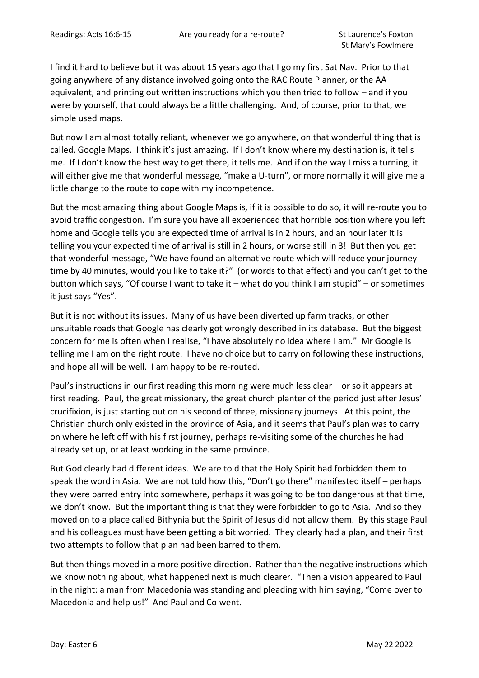I find it hard to believe but it was about 15 years ago that I go my first Sat Nav. Prior to that going anywhere of any distance involved going onto the RAC Route Planner, or the AA equivalent, and printing out written instructions which you then tried to follow – and if you were by yourself, that could always be a little challenging. And, of course, prior to that, we simple used maps.

But now I am almost totally reliant, whenever we go anywhere, on that wonderful thing that is called, Google Maps. I think it's just amazing. If I don't know where my destination is, it tells me. If I don't know the best way to get there, it tells me. And if on the way I miss a turning, it will either give me that wonderful message, "make a U-turn", or more normally it will give me a little change to the route to cope with my incompetence.

But the most amazing thing about Google Maps is, if it is possible to do so, it will re-route you to avoid traffic congestion. I'm sure you have all experienced that horrible position where you left home and Google tells you are expected time of arrival is in 2 hours, and an hour later it is telling you your expected time of arrival is still in 2 hours, or worse still in 3! But then you get that wonderful message, "We have found an alternative route which will reduce your journey time by 40 minutes, would you like to take it?" (or words to that effect) and you can't get to the button which says, "Of course I want to take it – what do you think I am stupid" – or sometimes it just says "Yes".

But it is not without its issues. Many of us have been diverted up farm tracks, or other unsuitable roads that Google has clearly got wrongly described in its database. But the biggest concern for me is often when I realise, "I have absolutely no idea where I am." Mr Google is telling me I am on the right route. I have no choice but to carry on following these instructions, and hope all will be well. I am happy to be re-routed.

Paul's instructions in our first reading this morning were much less clear – or so it appears at first reading. Paul, the great missionary, the great church planter of the period just after Jesus' crucifixion, is just starting out on his second of three, missionary journeys. At this point, the Christian church only existed in the province of Asia, and it seems that Paul's plan was to carry on where he left off with his first journey, perhaps re-visiting some of the churches he had already set up, or at least working in the same province.

But God clearly had different ideas. We are told that the Holy Spirit had forbidden them to speak the word in Asia. We are not told how this, "Don't go there" manifested itself – perhaps they were barred entry into somewhere, perhaps it was going to be too dangerous at that time, we don't know. But the important thing is that they were forbidden to go to Asia. And so they moved on to a place called Bithynia but the Spirit of Jesus did not allow them. By this stage Paul and his colleagues must have been getting a bit worried. They clearly had a plan, and their first two attempts to follow that plan had been barred to them.

But then things moved in a more positive direction. Rather than the negative instructions which we know nothing about, what happened next is much clearer. "Then a vision appeared to Paul in the night: a man from Macedonia was standing and pleading with him saying, "Come over to Macedonia and help us!" And Paul and Co went.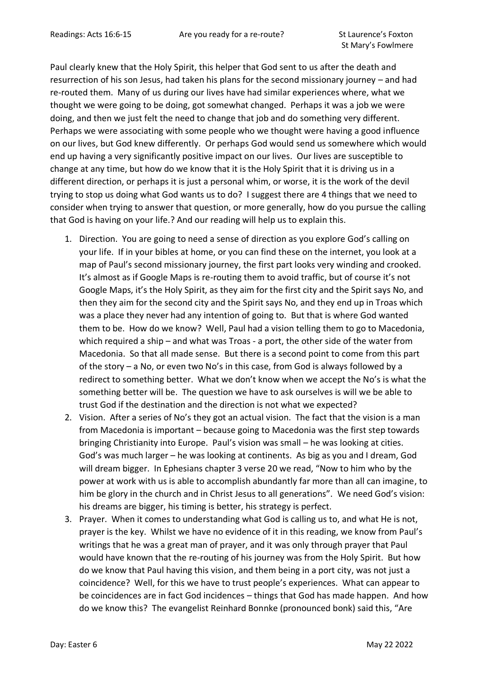Paul clearly knew that the Holy Spirit, this helper that God sent to us after the death and resurrection of his son Jesus, had taken his plans for the second missionary journey – and had re-routed them. Many of us during our lives have had similar experiences where, what we thought we were going to be doing, got somewhat changed. Perhaps it was a job we were doing, and then we just felt the need to change that job and do something very different. Perhaps we were associating with some people who we thought were having a good influence on our lives, but God knew differently. Or perhaps God would send us somewhere which would end up having a very significantly positive impact on our lives. Our lives are susceptible to change at any time, but how do we know that it is the Holy Spirit that it is driving us in a different direction, or perhaps it is just a personal whim, or worse, it is the work of the devil trying to stop us doing what God wants us to do? I suggest there are 4 things that we need to consider when trying to answer that question, or more generally, how do you pursue the calling that God is having on your life.? And our reading will help us to explain this.

- 1. Direction. You are going to need a sense of direction as you explore God's calling on your life. If in your bibles at home, or you can find these on the internet, you look at a map of Paul's second missionary journey, the first part looks very winding and crooked. It's almost as if Google Maps is re-routing them to avoid traffic, but of course it's not Google Maps, it's the Holy Spirit, as they aim for the first city and the Spirit says No, and then they aim for the second city and the Spirit says No, and they end up in Troas which was a place they never had any intention of going to. But that is where God wanted them to be. How do we know? Well, Paul had a vision telling them to go to Macedonia, which required a ship – and what was Troas - a port, the other side of the water from Macedonia. So that all made sense. But there is a second point to come from this part of the story – a No, or even two No's in this case, from God is always followed by a redirect to something better. What we don't know when we accept the No's is what the something better will be. The question we have to ask ourselves is will we be able to trust God if the destination and the direction is not what we expected?
- 2. Vision. After a series of No's they got an actual vision. The fact that the vision is a man from Macedonia is important – because going to Macedonia was the first step towards bringing Christianity into Europe. Paul's vision was small – he was looking at cities. God's was much larger – he was looking at continents. As big as you and I dream, God will dream bigger. In Ephesians chapter 3 verse 20 we read, "Now to him who by the power at work with us is able to accomplish abundantly far more than all can imagine, to him be glory in the church and in Christ Jesus to all generations". We need God's vision: his dreams are bigger, his timing is better, his strategy is perfect.
- 3. Prayer. When it comes to understanding what God is calling us to, and what He is not, prayer is the key. Whilst we have no evidence of it in this reading, we know from Paul's writings that he was a great man of prayer, and it was only through prayer that Paul would have known that the re-routing of his journey was from the Holy Spirit. But how do we know that Paul having this vision, and them being in a port city, was not just a coincidence? Well, for this we have to trust people's experiences. What can appear to be coincidences are in fact God incidences – things that God has made happen. And how do we know this? The evangelist Reinhard Bonnke (pronounced bonk) said this, "Are